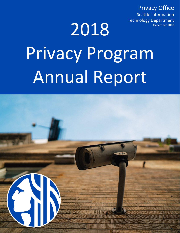Privacy Office Seattle Information Technology Department December 2018

# Privacy Program Annual Report

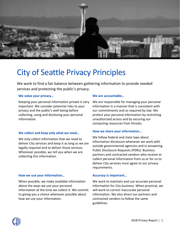

## City of Seattle Privacy Principles

We work to find a fair balance between gathering information to provide needed services and protecting the public's privacy.

#### **We value your privacy…**

Keeping your personal information private is very important. We consider potential risks to your privacy and the public's well-being before collecting, using and disclosing your personal information.

#### **We collect and keep only what we need…**

We only collect information that we need to deliver City services and keep it as long as we are legally required and to deliver those services. Whenever possible, we tell you when we are collecting this information.

#### **How we use your information…**

When possible, we make available information about the ways we use your personal information at the time we collect it. We commit to giving you a choice whenever possible about how we use your information.

#### **We are accountable…**

We are responsible for managing your personal information in a manner that is consistent with our commitments and as required by law. We protect your personal information by restricting unauthorized access and by securing our computing resources from threats.

#### **How we share your information…**

We follow federal and state laws about information disclosure whenever we work with outside governmental agencies and in answering Public Disclosure Requests (PDRs). Business partners and contracted vendors who receive or collect personal information from us or for us to deliver City services must agree to our privacy requirements.

#### **Accuracy is important…**

We work to maintain and use accurate personal information for City business. When practical, we will work to correct inaccurate personal information. We also direct our partners and contracted vendors to follow the same guidelines.

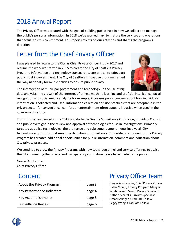## 2018 Annual Report

The Privacy Office was created with the goal of building public trust in how we collect and manage the public's personal information. In 2018 we've worked hard to mature the services and operations that actualizes this commitment. This report reflects on our activities and shares the program's direction.

## Letter from the Chief Privacy Officer

I was pleased to return to the City as Chief Privacy Officer in July 2017 and resume the work we started in 2015 to create the City of Seattle's Privacy Program. Information and technology transparency are critical to safeguard public trust in government. The City of Seattle's innovative program has led the way nationally for municipalities to ensure public privacy.

The intersection of municipal government and technology, in the use of big

data analytics, the growth of the Internet of things, machine learning and artificial intelligence, facial recognition and social media analytics for example, increases public concern about how individuals' information is collected and used. Information collection and use practices that are acceptable in the private sector for convenience, comfort or entertainment often appears intrusive when used in the

This is further evidenced in the 2017 update to the Seattle Surveillance Ordinance, providing Council and public oversight in the review and approval of technologies for use in investigations. Primarily targeted at police technologies, the ordinance and subsequent amendments involve all City technology acquisitions that meet the definition of surveillance. This added component of the Privacy Program has created additional opportunities for public interaction, comment and education about City privacy practices.

We continue to grow the Privacy Program, with new tools, personnel and service offerings to assist the City in meeting the privacy and transparency commitments we have made to the public.

Ginger Armbruster, Chief Privacy Officer

government setting.

| About the Privacy Program  | page 3 |
|----------------------------|--------|
| Key Performance Indicators | page 4 |
| Key Accomplishments        | page 5 |
| <b>Surveillance Review</b> | page 6 |

## Content **Privacy Office Team**

Ginger Armbruster, Chief Privacy Officer Dylan Morris, Privacy Program Manger Sarah Carrier, Senior Privacy Specialist Nathan Merrells, Privacy Specialist Omari Stringer, Graduate Fellow Peggy Wang, Graduate Fellow



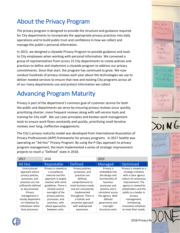## About the Privacy Program

The privacy program is designed to provide the structure and guidance required for City departments to incorporate the appropriate privacy practices into daily operations and to build public trust and confidence in how we collect and manage the public's personal information.

In 2015, we designed a citywide Privacy Program to provide guidance and tools to City employees when working with personal information. We convened a group of representatives from across 15 City departments to create policies and practices to define and implement a citywide program to address our privacy commitments. Since that start, the program has continued to grow. We now conduct hundreds of privacy reviews each year about the technologies we use to deliver needed services to ensure that new and existing City programs across all of our many departments use and protect information we collect.

## Advancing Program Maturity

Privacy is part of the department's common goal of customer service for both the public and departments we serve by ensuring privacy reviews occur quickly, prioritizing shorter, more frequent reviews along with self-service tools and training for City staff. We use Lean principles and Kanban work management tools to ensure work flows constantly and quickly, prioritizing small iterative reviews over long, ineffective engagements.

The City's privacy maturity model was developed from International Association of Privacy Professionals (IAPP) frameworks for privacy programs. In 2017 Seattle was operating an "Ad-Hoc" Privacy Program. By using the P-Ops approach to privacy program management, the team implemented a series of strategic improvement projects to reach a "Defined" state in 2018.

| 2017                 | 2018                 |                      | 2019              |                        |
|----------------------|----------------------|----------------------|-------------------|------------------------|
| Ad Hoc               | Repeatable           | <b>Defined</b>       | Managed           | Optimized              |
| Unstructured         | Privacy is viewed as | Privacy policies,    | Privacy is        | Privacy is viewed as a |
| approach where       | a compliance         | processes, and       | embedded into     | strategic initiative   |
| privacy policies,    | exercise and the     | practices are        | the design and    | with a clear agency    |
| processes, and       | approach is largely  | defined,             | functionality of  | culture of continuous  |
| practices are not    | reactive with some   | comprehensive to     | business          | improvement. The       |
| sufficiently defined | guidelines. There is | meet business needs, | processes and     | agency is viewed by    |
| or documented.       | limited central      | and are consistently | systems and is    | stakeholders and the   |
| Privacy              | oversight of the     | implemented          | consistent across | public as a leader in  |
| management is        | privacy policies,    | throughout. There is | the agency. Well- | privacy                |
| mostly dependent     | processes, and       | a holistic and       | defined           | management,            |
| on initiatives by    | practices, with      | proactive approach   | governance and    | introducing            |
| individuals rather   | siloed approaches    | with widespread      | oversight         | innovative initiatives |
| than processes.      | between units.       | awareness.           | structures exist. | to meet their needs.   |



2018 Privacy Re

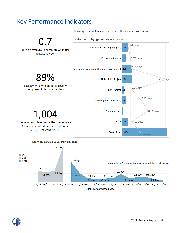#### Key Performance Indicators



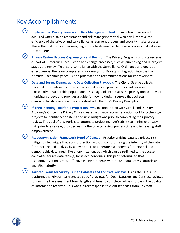### Key Accomplishments

 $(\vee)$ 

 $\odot$ 

 $(\vee)$ 

**Implemented Privacy Review and Risk Management Tool.** Privacy Team has recently acquired OneTrust, an assessment and risk management tool which will improve the efficiency of the privacy and surveillance assessment process and security intake process. This is the first step in their on-going efforts to streamline the review process make it easier to complete.

- $(\vee)$ **Privacy Review Process Gap Analysis and Revision.** The Privacy Program conducts reviews as part of numerous IT acquisition and change processes, such as purchasing and IT project stage gate review. To ensure compliance with the Surveillance Ordinance and operation effectiveness, the team completed a gap analysis of Privacy's integration into the five primary IT technology acquisition processes and recommendations for improvement.
- $\odot$ **Data and Survey Demographic Data Collection Playbook.** The City of Seattle collects personal information from the public so that we can provide important services, particularly to vulnerable populations. This Playbook introduces the privacy implications of municipal surveys and provides a guide for how to design a survey that collects demographic data in a manner consistent with the City's Privacy Principles.
- $(\vee)$ **If-Then Planning Tool for IT Project Reviews.** In cooperation with Orrick and the City Attorney's Office, the Privacy Office created a privacy recommendation tool for technology projects to identify action items and risks mitigations prior to completing their privacy review. The goal of this work is to automate project manger's ability to minimize privacy risk, prior to a review, thus decreasing the privacy review process time and increasing staff empowerment.
	- **Pseudonymization Framework Proof of Concept.** Pseudonymizing data is a privacy risk mitigation technique that adds protection without compromising the integrity of the data for reporting and analysis by allowing staff to generate pseudonyms for personal and demographic data, much like anonymization, but which can be re-linked to the accesscontrolled source data table(s) by select individuals. This pilot determined that pseudonymization is most effective in environments with robust data access controls and analytic maturity.

**Tailored Forms for Surveys, Open Datasets and Contract Reviews.** Using the OneTrust platform, the Privacy team created specific reviews for Open Datasets and Contract reviews to minimize the assessment form length and time to complete, while improving the quality of information received. This was a direct response to client feedback from City staff.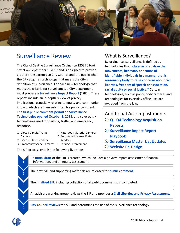

#### Surveillance Review

The City of Seattle Surveillance Ordinance 125376 took effect on September 1, 2017 and is designed to provide greater transparency to City Council and the public when the City acquires technology that meets the City's definition of surveillance. For each new technology that meets the criteria for surveillance, a City department must prepare a **Surveillance Impact Report** ("SIR"). These reports include an in-depth review of privacy implications, especially relating to equity and community impact, which are then submitted for public comment.

**The first public comment period on Surveillance Technologies opened October 8, 2018**, and covered six technologies used for parking, traffic, and emergency response.

- 1. Closed Circuit, Traffic Cameras
- 4.Hazardous Material Cameras 5.Automated License Plate
- 2. License Plate Readers
- 3. Emergency Scene Cameras 6.Parking Enforcement Readers

The SIR process entails the following five steps.

#### What is Surveillance?

By ordinance, surveillance is defined as technologies that **"observe or analyze the movements, behavior, or actions of identifiable individuals in a manner that is reasonably likely to raise concerns about civil liberties, freedom of speech or association, racial equity or social justice."** Certain technologies, such as police body cameras and technologies for everyday office use, are excluded from the law.

Additional Accomplishments

- **Q1-Q4 Technology Acquisition Reports**
- **Surveillance Impact Report Playbook**
- **Surveillance Master List Updates**
- **Website Re-Design**

1 An **initial draft** of the SIR is created, which includes a privacy impact assessment, financial information, and an equity assessment. 2 The draft SIR and supporting materials are released for **public comment**. 3 The **finalized SIR**, including collection of all public comments, is completed. 4 An advisory working group reviews the SIR and provides a **Civil Liberties and Privacy Assessment**. 5 **City Council reviews** the SIR and determines the use of the surveillance technology.